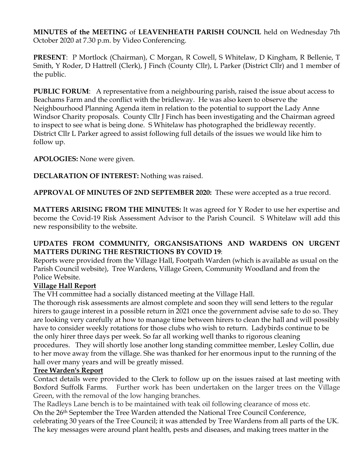**MINUTES of the MEETING** of **LEAVENHEATH PARISH COUNCIL** held on Wednesday 7th October 2020 at 7.30 p.m. by Video Conferencing.

**PRESENT**: P Mortlock (Chairman), C Morgan, R Cowell, S Whitelaw, D Kingham, R Bellenie, T Smith, Y Roder, D Hattrell (Clerk), J Finch (County Cllr), L Parker (District Cllr) and 1 member of the public.

**PUBLIC FORUM:** A representative from a neighbouring parish, raised the issue about access to Beachams Farm and the conflict with the bridleway. He was also keen to observe the Neighbourhood Planning Agenda item in relation to the potential to support the Lady Anne Windsor Charity proposals. County Cllr J Finch has been investigating and the Chairman agreed to inspect to see what is being done. S Whitelaw has photographed the bridleway recently. District Cllr L Parker agreed to assist following full details of the issues we would like him to follow up.

**APOLOGIES:** None were given.

**DECLARATION OF INTEREST:** Nothing was raised.

**APPROVAL OF MINUTES OF 2ND SEPTEMBER 2020:** These were accepted as a true record.

**MATTERS ARISING FROM THE MINUTES:** It was agreed for Y Roder to use her expertise and become the Covid-19 Risk Assessment Advisor to the Parish Council. S Whitelaw will add this new responsibility to the website.

### **UPDATES FROM COMMUNITY, ORGANSISATIONS AND WARDENS ON URGENT MATTERS DURING THE RESTRICTIONS BY COVID 19**:

Reports were provided from the Village Hall, Footpath Warden (which is available as usual on the Parish Council website), Tree Wardens, Village Green, Community Woodland and from the Police Website.

# **Village Hall Report**

The VH committee had a socially distanced meeting at the Village Hall.

The thorough risk assessments are almost complete and soon they will send letters to the regular hirers to gauge interest in a possible return in 2021 once the government advise safe to do so. They are looking very carefully at how to manage time between hirers to clean the hall and will possibly have to consider weekly rotations for those clubs who wish to return. Ladybirds continue to be the only hirer three days per week. So far all working well thanks to rigorous cleaning procedures. They will shortly lose another long standing committee member, Lesley Collin, due to her move away from the village. She was thanked for her enormous input to the running of the hall over many years and will be greatly missed.

# **Tree Warden's Report**

Contact details were provided to the Clerk to follow up on the issues raised at last meeting with Boxford Suffolk Farms. Further work has been undertaken on the larger trees on the Village Green, with the removal of the low hanging branches.

The Radleys Lane bench is to be maintained with teak oil following clearance of moss etc.

On the 26th September the Tree Warden attended the National Tree Council Conference,

celebrating 30 years of the Tree Council; it was attended by Tree Wardens from all parts of the UK. The key messages were around plant health, pests and diseases, and making trees matter in the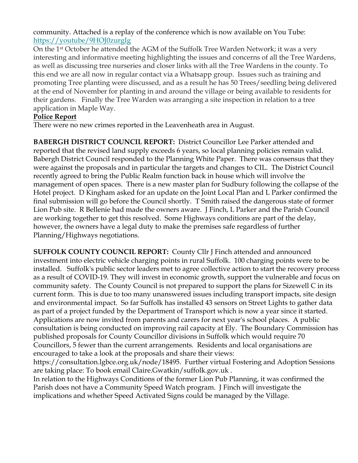community. Attached is a replay of the conference which is now available on You Tube: https://youtube/9HOJ0zurgIg

On the 1st October he attended the AGM of the Suffolk Tree Warden Network; it was a very interesting and informative meeting highlighting the issues and concerns of all the Tree Wardens, as well as discussing tree nurseries and closer links with all the Tree Wardens in the county. To this end we are all now in regular contact via a Whatsapp group. Issues such as training and promoting Tree planting were discussed, and as a result he has 50 Trees/seedling being delivered at the end of November for planting in and around the village or being available to residents for their gardens. Finally the Tree Warden was arranging a site inspection in relation to a tree application in Maple Way.

### **Police Report**

There were no new crimes reported in the Leavenheath area in August.

**BABERGH DISTRICT COUNCIL REPORT:** District Councillor Lee Parker attended and reported that the revised land supply exceeds 6 years, so local planning policies remain valid. Babergh District Council responded to the Planning White Paper. There was consensus that they were against the proposals and in particular the targets and changes to CIL. The District Council recently agreed to bring the Public Realm function back in house which will involve the management of open spaces. There is a new master plan for Sudbury following the collapse of the Hotel project. D Kingham asked for an update on the Joint Local Plan and L Parker confirmed the final submission will go before the Council shortly. T Smith raised the dangerous state of former Lion Pub site. R Bellenie had made the owners aware. J Finch, L Parker and the Parish Council are working together to get this resolved. Some Highways conditions are part of the delay, however, the owners have a legal duty to make the premises safe regardless of further Planning/Highways negotiations.

**SUFFOLK COUNTY COUNCIL REPORT:** County Cllr J Finch attended and announced investment into electric vehicle charging points in rural Suffolk. 100 charging points were to be installed. Suffolk's public sector leaders met to agree collective action to start the recovery process as a result of COVID-19. They will invest in economic growth, support the vulnerable and focus on community safety. The County Council is not prepared to support the plans for Sizewell C in its current form. This is due to too many unanswered issues including transport impacts, site design and environmental impact. So far Suffolk has installed 43 sensors on Street Lights to gather data as part of a project funded by the Department of Transport which is now a year since it started. Applications are now invited from parents and carers for next year's school places. A public consultation is being conducted on improving rail capacity at Ely. The Boundary Commission has published proposals for County Councillor divisions in Suffolk which would require 70 Councillors, 5 fewer than the current arrangements. Residents and local organisations are encouraged to take a look at the proposals and share their views:

https://consultation.lgbce.org.uk/node/18495. Further virtual Fostering and Adoption Sessions are taking place: To book email Claire.Gwatkin/suffolk.gov.uk .

In relation to the Highways Conditions of the former Lion Pub Planning, it was confirmed the Parish does not have a Community Speed Watch program. J Finch will investigate the implications and whether Speed Activated Signs could be managed by the Village.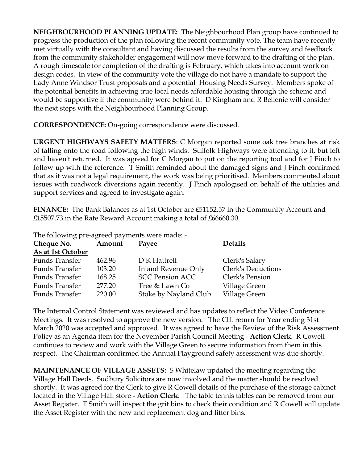**NEIGHBOURHOOD PLANNING UPDATE:** The Neighbourhood Plan group have continued to progress the production of the plan following the recent community vote. The team have recently met virtually with the consultant and having discussed the results from the survey and feedback from the community stakeholder engagement will now move forward to the drafting of the plan. A rough timescale for completion of the drafting is February, which takes into account work on design codes. In view of the community vote the village do not have a mandate to support the Lady Anne Windsor Trust proposals and a potential Housing Needs Survey. Members spoke of the potential benefits in achieving true local needs affordable housing through the scheme and would be supportive if the community were behind it. D Kingham and R Bellenie will consider the next steps with the Neighbourhood Planning Group.

**CORRESPONDENCE:** On-going correspondence were discussed.

**URGENT HIGHWAYS SAFETY MATTERS**: C Morgan reported some oak tree branches at risk of falling onto the road following the high winds. Suffolk Highways were attending to it, but left and haven't returned. It was agreed for C Morgan to put on the reporting tool and for J Finch to follow up with the reference. T Smith reminded about the damaged signs and J Finch confirmed that as it was not a legal requirement, the work was being prioritised. Members commented about issues with roadwork diversions again recently. J Finch apologised on behalf of the utilities and support services and agreed to investigate again.

**FINANCE:** The Bank Balances as at 1st October are £51152.57 in the Community Account and £15507.73 in the Rate Reward Account making a total of £66660.30.

The following pre-agreed payments were made: -

| Cheque No.            | Amount | Payee                      | <b>Details</b>            |
|-----------------------|--------|----------------------------|---------------------------|
| As at 1st October     |        |                            |                           |
| <b>Funds Transfer</b> | 462.96 | D K Hattrell               | Clerk's Salary            |
| Funds Transfer        | 103.20 | <b>Inland Revenue Only</b> | <b>Clerk's Deductions</b> |
| Funds Transfer        | 168.25 | <b>SCC Pension ACC</b>     | Clerk's Pension           |
| Funds Transfer        | 277.20 | Tree & Lawn Co             | Village Green             |
| Funds Transfer        | 220.00 | Stoke by Nayland Club      | Village Green             |

The Internal Control Statement was reviewed and has updates to reflect the Video Conference Meetings. It was resolved to approve the new version. The CIL return for Year ending 31st March 2020 was accepted and approved. It was agreed to have the Review of the Risk Assessment Policy as an Agenda item for the November Parish Council Meeting - **Action Clerk**. R Cowell continues to review and work with the Village Green to secure information from them in this respect. The Chairman confirmed the Annual Playground safety assessment was due shortly.

**MAINTENANCE OF VILLAGE ASSETS:** S Whitelaw updated the meeting regarding the Village Hall Deeds. Sudbury Solicitors are now involved and the matter should be resolved shortly. It was agreed for the Clerk to give R Cowell details of the purchase of the storage cabinet located in the Village Hall store - **Action Clerk**. The table tennis tables can be removed from our Asset Register. T Smith will inspect the grit bins to check their condition and R Cowell will update the Asset Register with the new and replacement dog and litter bins**.**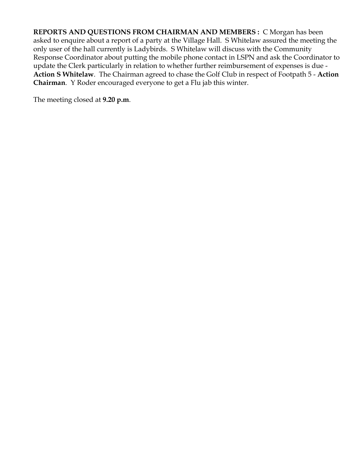**REPORTS AND QUESTIONS FROM CHAIRMAN AND MEMBERS :** C Morgan has been asked to enquire about a report of a party at the Village Hall. S Whitelaw assured the meeting the only user of the hall currently is Ladybirds. S Whitelaw will discuss with the Community Response Coordinator about putting the mobile phone contact in LSPN and ask the Coordinator to update the Clerk particularly in relation to whether further reimbursement of expenses is due - **Action S Whitelaw**. The Chairman agreed to chase the Golf Club in respect of Footpath 5 - **Action Chairman**. Y Roder encouraged everyone to get a Flu jab this winter.

The meeting closed at **9.20 p.m**.